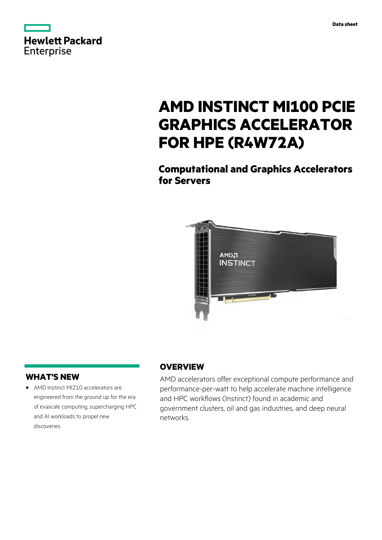

# **AMD INSTINCT MI100 PCIE GRAPHICS ACCELERATOR FOR HPE (R4W72A)**

**Computational and Graphics Accelerators for Servers**



#### **WHAT'S NEW**

**·** AMD Instinct MI210 accelerators are engineered from the ground up for the era of exascale computing, supercharging HPC and AI workloads to propel new discoveries.

#### **OVERVIEW**

AMD accelerators offer exceptional compute performance and performance-per-watt to help accelerate machine intelligence and HPC workflows (Instinct) found in academic and government clusters, oil and gas industries, and deep neural networks.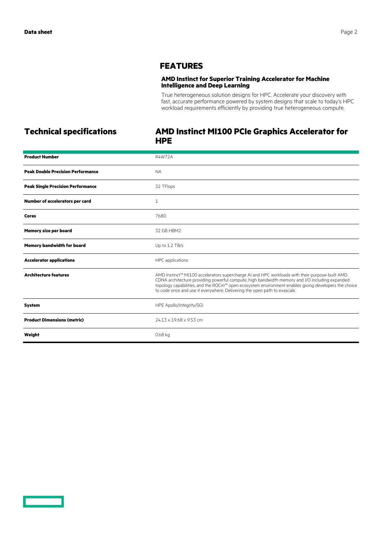### **FEATURES**

#### **AMD Instinct for Superior Training Accelerator for Machine Intelligence and Deep Learning**

True heterogeneous solution designs for HPC. Accelerate your discovery with fast, accurate performance powered by system designs that scale to today's HPC workload requirements efficiently by providing true heterogeneous compute.

## **Technical specifications AMD Instinct MI100 PCIe Graphics Accelerator for HPE**

| <b>Product Number</b>                    | <b>R4W72A</b>                                                                                                                                                                                                                                                                                                                                                                         |
|------------------------------------------|---------------------------------------------------------------------------------------------------------------------------------------------------------------------------------------------------------------------------------------------------------------------------------------------------------------------------------------------------------------------------------------|
| <b>Peak Double Precision Performance</b> | <b>NA</b>                                                                                                                                                                                                                                                                                                                                                                             |
| <b>Peak Single Precision Performance</b> | 32 TFlops                                                                                                                                                                                                                                                                                                                                                                             |
| Number of accelerators per card          | $\mathbf{1}$                                                                                                                                                                                                                                                                                                                                                                          |
| <b>Cores</b>                             | 7680                                                                                                                                                                                                                                                                                                                                                                                  |
| <b>Memory size per board</b>             | 32 GB HBM2                                                                                                                                                                                                                                                                                                                                                                            |
| <b>Memory bandwidth for board</b>        | Up to 1.2 TB/s                                                                                                                                                                                                                                                                                                                                                                        |
| <b>Accelerator applications</b>          | HPC applications                                                                                                                                                                                                                                                                                                                                                                      |
| <b>Architecture features</b>             | AMD Instinct™ MI100 accelerators supercharge AI and HPC workloads with their purpose-built AMD<br>CDNA architecture providing powerful compute, high bandwidth memory and I/O including expanded<br>topology capabilities, and the ROCm™ open ecosystem environment enables giving developers the choice<br>to code once and use it everywhere. Delivering the open path to exascale. |
| <b>System</b>                            | HPE Apollo/Integrity/SGI                                                                                                                                                                                                                                                                                                                                                              |
| <b>Product Dimensions (metric)</b>       | 24.13 x 19.68 x 9.53 cm                                                                                                                                                                                                                                                                                                                                                               |
| Weight                                   | 0.68 kg                                                                                                                                                                                                                                                                                                                                                                               |